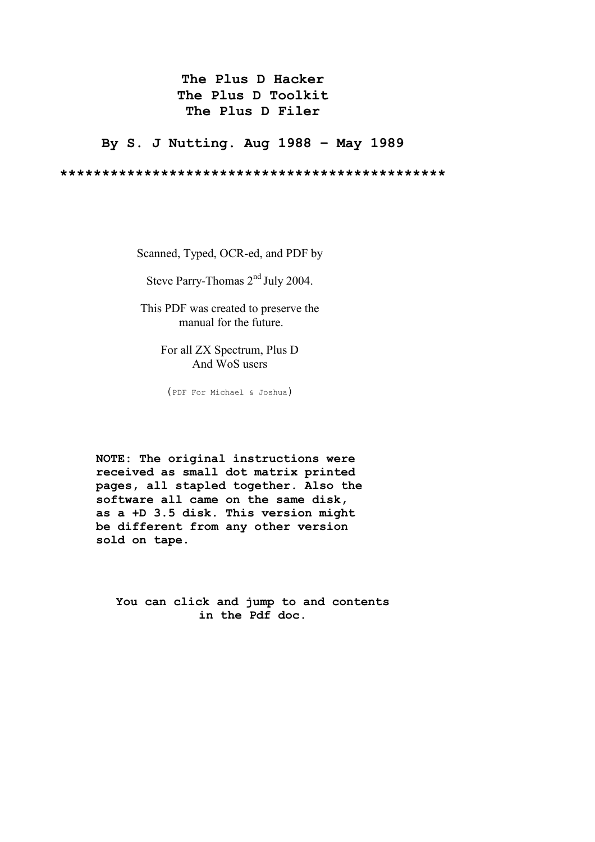# **The Plus D Hacker The Plus D Toolkit The Plus D Filer**

**By S. J Nutting. Aug 1988 – May 1989** 

**\*\*\*\*\*\*\*\*\*\*\*\*\*\*\*\*\*\*\*\*\*\*\*\*\*\*\*\*\*\*\*\*\*\*\*\*\*\*\*\*\*\*\*\*\*\*** 

Scanned, Typed, OCR-ed, and PDF by

Steve Parry-Thomas  $2<sup>nd</sup>$  July 2004.

This PDF was created to preserve the manual for the future.

> For all ZX Spectrum, Plus D And WoS users

(PDF For Michael & Joshua)

**NOTE: The original instructions were received as small dot matrix printed pages, all stapled together. Also the software all came on the same disk, as a +D 3.5 disk. This version might be different from any other version sold on tape**.

**You can click and jump to and contents in the Pdf doc.**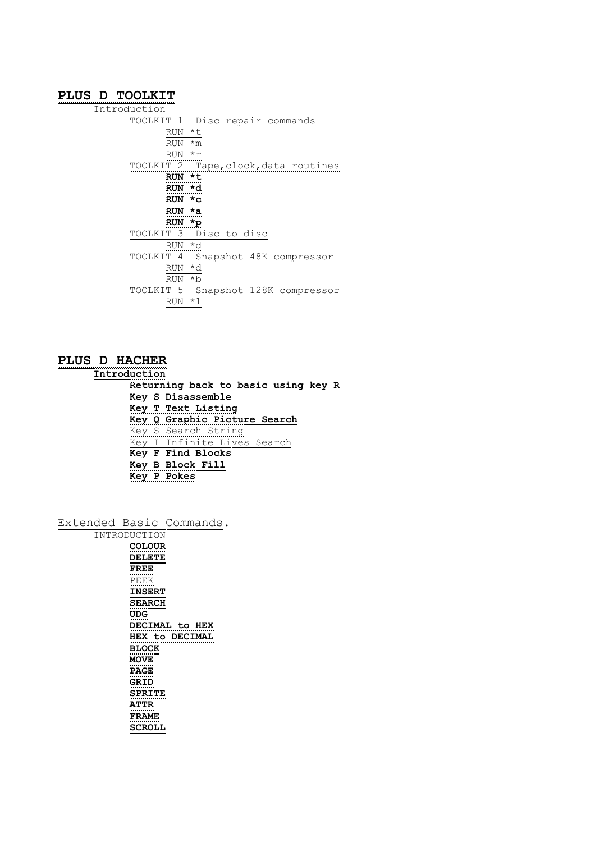## **[PLUS D TOOLKIT](#page-3-0)**

[Introduction](#page-3-0) [TOOLKIT 1 Disc repair commands](#page-3-0) [RUN \\*t](#page-3-0) [RUN \\*m](#page-3-0) [RUN \\*r](#page-4-0) [TOOLKIT 2 Tape,clock,data routines](#page-4-0) **[RUN \\*t](#page-4-0) [RUN \\*d](#page-4-0) [RUN \\*c](#page-5-0) [RUN \\*a](#page-5-0) [RUN \\*p](#page-5-0)** [TOOLKIT 3 Disc to disc](#page-5-0) [RUN \\*d](#page-5-0) [TOOLKIT 4 Snapshot 48K compressor](#page-6-0) [RUN \\*d](#page-6-0) [RUN \\*b](#page-6-0) [TOOLKIT 5 Snapshot 128K compressor](#page-6-0) [RUN \\*l](#page-6-0)

## **[PLUS D HACHER](#page-7-0)**

**[Introduction](#page-7-0)**

**[Returning back to basic using key R](#page-7-0) [Key S Disassemble](#page-8-0) [Key T Text Listing](#page-8-0) [Key Q Graphic Picture Search](#page-8-0)** [Key S Search String](#page-9-0) [Key I Infinite Lives Search](#page-9-0) **[Key F Find Blocks](#page-9-0) [Key B Block Fill](#page-9-0) [Key P Pokes](#page-9-0)**

[Extended Basic Commands.](#page-10-0)

| INTRODUCTION          |
|-----------------------|
| COLOUR                |
| <b>DELETE</b>         |
| <b>FREE</b>           |
| PEEK                  |
| <b>INSERT</b>         |
| <b>SEARCH</b>         |
| UDG                   |
| <b>DECIMAL to HEX</b> |
|                       |
| <b>HEX to DECIMAL</b> |
| <b>BLOCK</b>          |
| <b>MOVE</b>           |
| <b>PAGE</b>           |
| <b>GRID</b>           |
| SPRITE                |
| <b>ATTR</b>           |
| <b>FRAME</b>          |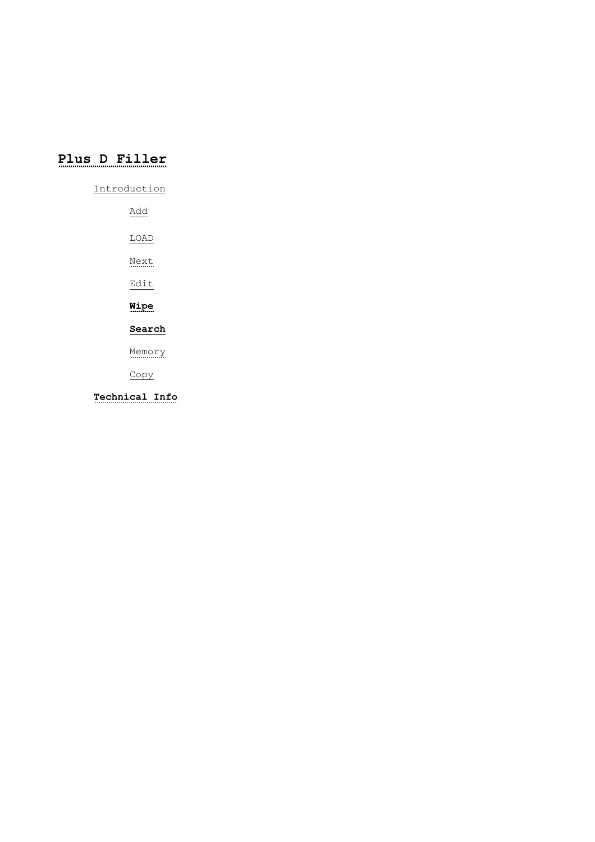# **[Plus D Filler](#page-13-0)**

[Introduction](#page-13-0)

[Add](#page-13-0) [LOAD](#page-14-0) [Next](#page-14-0) [Edit](#page-15-0) **[Wipe](#page-15-0) [Search](#page-15-0)**

[Memory](#page-15-0)

[Copy](#page-15-0)

**[Technical Info](#page-16-0)**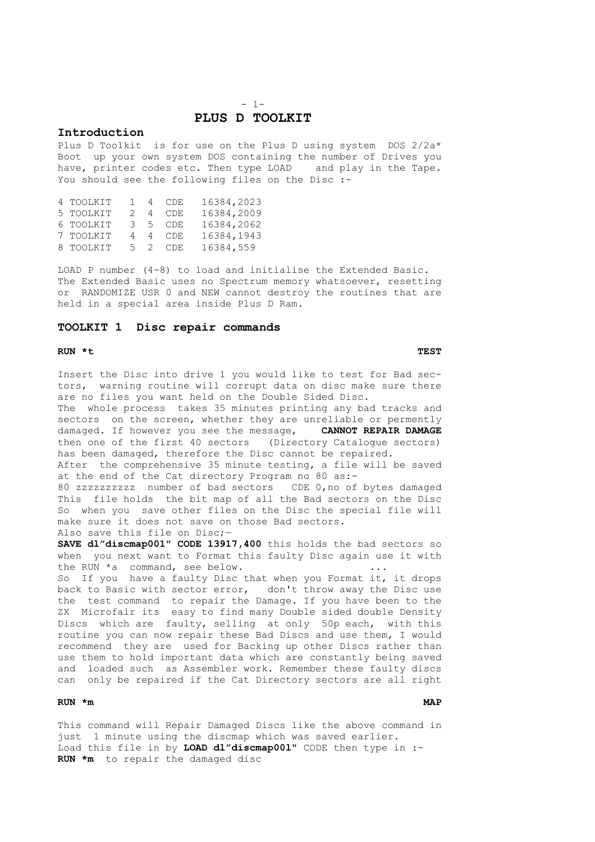## $- 1-$ **PLUS D TOOLKIT**

#### <span id="page-3-0"></span>**Introduction**

Plus D Toolkit is for use on the Plus D using system DOS 2/2a\* Boot up your own system DOS containing the number of Drives you have, printer codes etc. Then type LOAD and play in the Tape. You should see the following files on the Disc :-

| 4 TOOLKIT | $\overline{1}$ | 4              | CDE     | 16384,2023 |
|-----------|----------------|----------------|---------|------------|
| 5 TOOLKIT |                | $\overline{4}$ | CDE     | 16384,2009 |
| 6 TOOLKIT |                |                | 3 5 CDE | 16384,2062 |
| 7 TOOLKIT | 4              | $\overline{4}$ | CDE     | 16384,1943 |
| 8 TOOLKIT | 5 2            |                | CDE.    | 16384,559  |

LOAD P number (4-8) to load and initialise the Extended Basic. The Extended Basic uses no Spectrum memory whatsoever, resetting or RANDOMIZE USR 0 and NEW cannot destroy the routines that are held in a special area inside Plus D Ram.

#### **TOOLKIT 1 Disc repair commands**

#### **RUN \*t TEST**

Insert the Disc into drive 1 you would like to test for Bad sectors, warning routine will corrupt data on disc make sure there are no files you want held on the Double Sided Disc.

The whole process takes 35 minutes printing any bad tracks and sectors on the screen, whether they are unreliable or permently damaged. If however you see the message, **CANNOT REPAIR DAMAGE** then one of the first 40 sectors (Directory Catalogue sectors) has been damaged, therefore the Disc cannot be repaired.

After the comprehensive 35 minute testing, a file will be saved at the end of the Cat directory Program no 80 as:-

80 zzzzzzzzzz number of bad sectors CDE 0,no of bytes damaged This file holds the bit map of all the Bad sectors on the Disc So when you save other files on the Disc the special file will make sure it does not save on those Bad sectors.

Also save this file on Disc;-

**SAVE dl"discmap001" CODE 13917,400** this holds the bad sectors so when you next want to Format this faulty Disc again use it with the RUN \*a command, see below. ... ...

So If you have a faulty Disc that when you Format it, it drops back to Basic with sector error, don't throw away the Disc use the test command to repair the Damage. If you have been to the ZX Microfair its easy to find many Double sided double Density Discs which are faulty, selling at only 50p each, with this routine you can now repair these Bad Discs and use them, I would recommend they are used for Backing up other Discs rather than use them to hold important data which are constantly being saved and loaded such as Assembler work. Remember these faulty discs can only be repaired if the Cat Directory sectors are all right

#### **RUN \*m MAP**

This command will Repair Damaged Discs like the above command in just 1 minute using the discmap which was saved earlier. Load this file in by **LOAD dl"discmap00l"** CODE then type in :- **RUN \*m** to repair the damaged disc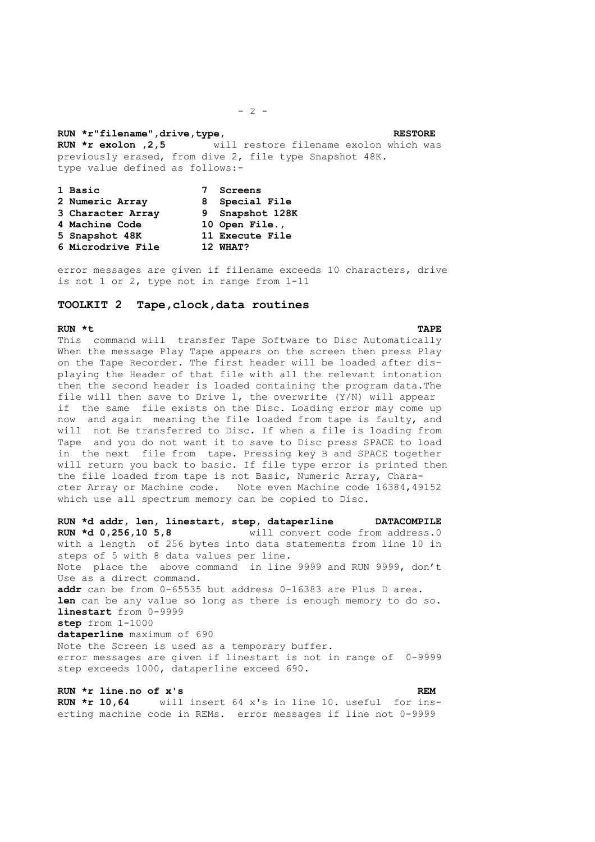#### <span id="page-4-0"></span>**RUN \*r"filename",drive,type,**  $\frac{1}{2}$  **RESTORE**

**RUN \*r exolon ,2,5** will restore filename exolon which was previously erased, from dive 2, file type Snapshot 48K. type value defined as follows:-

| 1 Basic           | Screens         |
|-------------------|-----------------|
| 2 Numeric Array   | 8 Special File  |
| 3 Character Array | 9 Snapshot 128K |
| 4 Machine Code    | 10 Open File.,  |
| 5 Snapshot 48K    | 11 Execute File |
| 6 Microdrive File | 12 WHAT?        |

error messages are given if filename exceeds 10 characters, drive is not 1 or 2, type not in range from 1-11

### **TOOLKIT 2 Tape,clock,data routines**

#### **RUN \*t TAPE**

This command will transfer Tape Software to Disc Automatically When the message Play Tape appears on the screen then press Play on the Tape Recorder. The first header will be loaded after displaying the Header of that file with all the relevant intonation then the second header is loaded containing the program data.The file will then save to Drive l, the overwrite (Y/N) will appear if the same file exists on the Disc. Loading error may come up now and again meaning the file loaded from tape is faulty, and will not Be transferred to Disc. If when a file is loading from Tape and you do not want it to save to Disc press SPACE to load in the next file from tape. Pressing key B and SPACE together will return you back to basic. If file type error is printed then the file loaded from tape is not Basic, Numeric Array, Character Array or Machine code. Note even Machine code 16384,49152 which use all spectrum memory can be copied to Disc.

**RUN \*d addr, len, linestart, step, dataperline DATACOMPILE RUN \*d 0,256,10 5,8** will convert code from address.0 with a length of 256 bytes into data statements from line 10 in steps of 5 with 8 data values per line. Note place the above command in line 9999 and RUN 9999, don't Use as a direct command. **addr** can be from 0-65535 but address 0-16383 are Plus D area. **len** can be any value so long as there is enough memory to do so. **linestart** from 0-9999 **step** from 1-1000 **dataperline** maximum of 690 Note the Screen is used as a temporary buffer. error messages are given if linestart is not in range of 0-9999 step exceeds 1000, dataperline exceed 690.

## **RUN \*r line.no of x's REM**

**RUN \*r 10,64** will insert 64 x's in line 10. useful for inserting machine code in REMs. error messages if line not 0-9999

#### $- 2 -$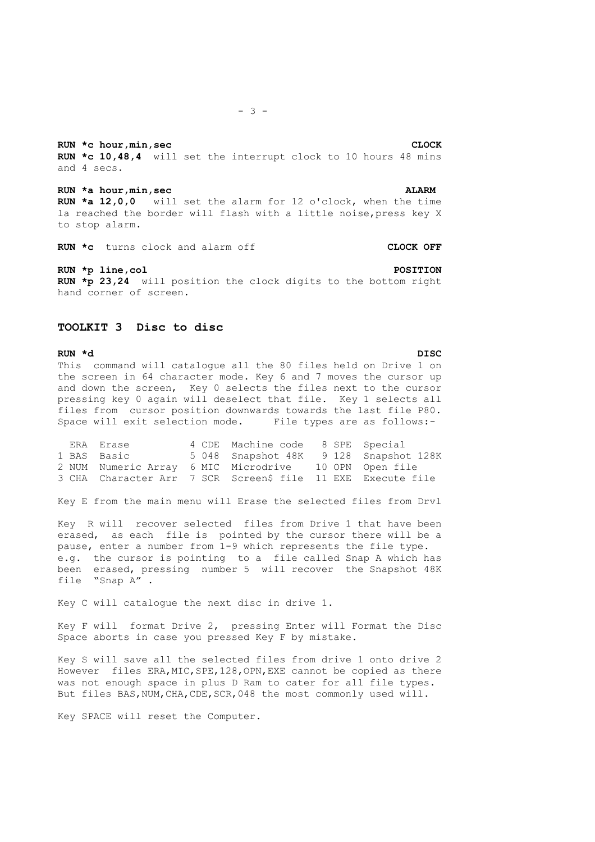<span id="page-5-0"></span>**RUN \*c** hour, min, sec CLOCK **RUN \*c 10,48,4** will set the interrupt clock to 10 hours 48 mins and 4 secs.

**RUN \*a hour,min,sec ALARM RUN \*a 12,0,0** will set the alarm for 12 o'clock, when the time la reached the border will flash with a little noise,press key X to stop alarm.

**RUN \*c** turns clock and alarm off **CLOCK OFF**

RUN \*p line, col **POSITION RUN \*p 23,24** will position the clock digits to the bottom right hand corner of screen.

### **TOOLKIT 3 Disc to disc**

**RUN \*d DISC**  This command will catalogue all the 80 files held on Drive 1 on the screen in 64 character mode. Key 6 and 7 moves the cursor up and down the screen, Key 0 selects the files next to the cursor pressing key 0 again will deselect that file. Key 1 selects all files from cursor position downwards towards the last file P80. Space will exit selection mode. File types are as follows:-

| ERA Erase                                                   | 4 CDE Machine code 8 SPE Special |                                        |
|-------------------------------------------------------------|----------------------------------|----------------------------------------|
| 1 BAS Basic                                                 |                                  | 5 048 Snapshot 48K 9 128 Snapshot 128K |
| 2 NUM Numeric Array 6 MIC Microdrive 10 OPN Open file       |                                  |                                        |
| 3 CHA Character Arr 7 SCR Screen\$ file 11 EXE Execute file |                                  |                                        |

Key E from the main menu will Erase the selected files from Drvl

Key R will recover selected files from Drive 1 that have been erased, as each file is pointed by the cursor there will be a pause, enter a number from 1-9 which represents the file type. e.g. the cursor is pointing to a file called Snap A which has been erased, pressing number 5 will recover the Snapshot 48K file "Snap A" .

Key C will catalogue the next disc in drive 1.

Key F will format Drive 2, pressing Enter will Format the Disc Space aborts in case you pressed Key F by mistake.

Key S will save all the selected files from drive 1 onto drive 2 However files ERA, MIC, SPE, 128, OPN, EXE cannot be copied as there was not enough space in plus D Ram to cater for all file types. But files BAS,NUM,CHA,CDE,SCR,048 the most commonly used will.

Key SPACE will reset the Computer.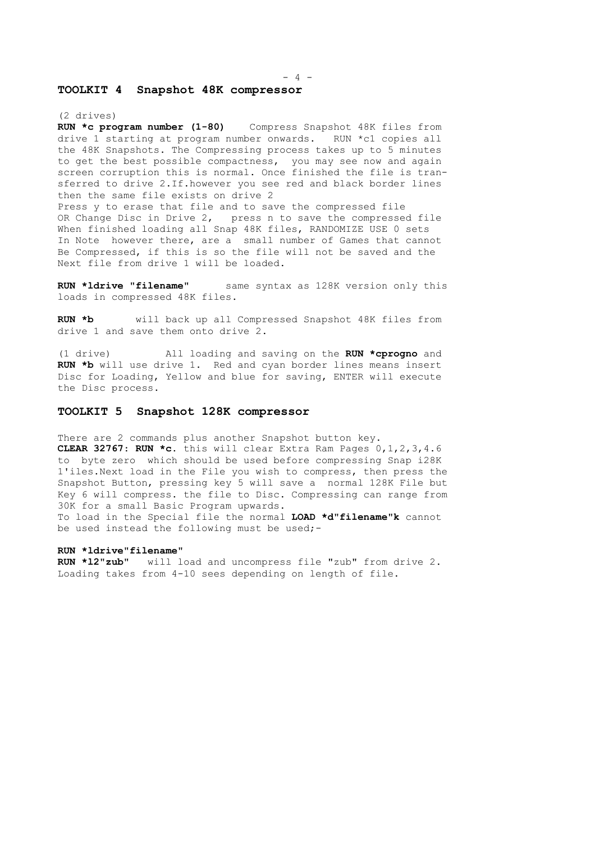#### $4$   $-$

#### <span id="page-6-0"></span>**TOOLKIT 4 Snapshot 48K compressor**

(2 drives)<br>**RUN \*c program number (1-80)** Compress Snapshot 48K files from drive 1 starting at program number onwards. RUN \*c1 copies all the 48K Snapshots. The Compressing process takes up to 5 minutes to get the best possible compactness, you may see now and again screen corruption this is normal. Once finished the file is transferred to drive 2.If.however you see red and black border lines then the same file exists on drive 2 Press y to erase that file and to save the compressed file OR Change Disc in Drive 2, press n to save the compressed file When finished loading all Snap 48K files, RANDOMIZE USE 0 sets In Note however there, are a small number of Games that cannot Be Compressed, if this is so the file will not be saved and the Next file from drive 1 will be loaded.

**RUN \*ldrive "filename"** same syntax as 128K version only this loads in compressed 48K files.

**RUN \*b** will back up all Compressed Snapshot 48K files from drive 1 and save them onto drive 2.

(1 drive) All loading and saving on the **RUN \*cprogno** and **RUN \*b** will use drive 1. Red and cyan border lines means insert Disc for Loading, Yellow and blue for saving, ENTER will execute the Disc process.

## **TOOLKIT 5 Snapshot 128K compressor**

There are 2 commands plus another Snapshot button key. **CLEAR 32767**: **RUN \*c**. this will clear Extra Ram Pages 0,1,2,3,4.6 to byte zero which should be used before compressing Snap i28K 1'iles.Next load in the File you wish to compress, then press the Snapshot Button, pressing key 5 will save a normal 128K File but Key 6 will compress. the file to Disc. Compressing can range from 30K for a small Basic Program upwards. To load in the Special file the normal **LOAD \*d"filename"k** cannot be used instead the following must be used;-

#### **RUN \*ldrive"filename"**

**RUN \*l2"zub"** will load and uncompress file "zub" from drive 2. Loading takes from 4-10 sees depending on length of file.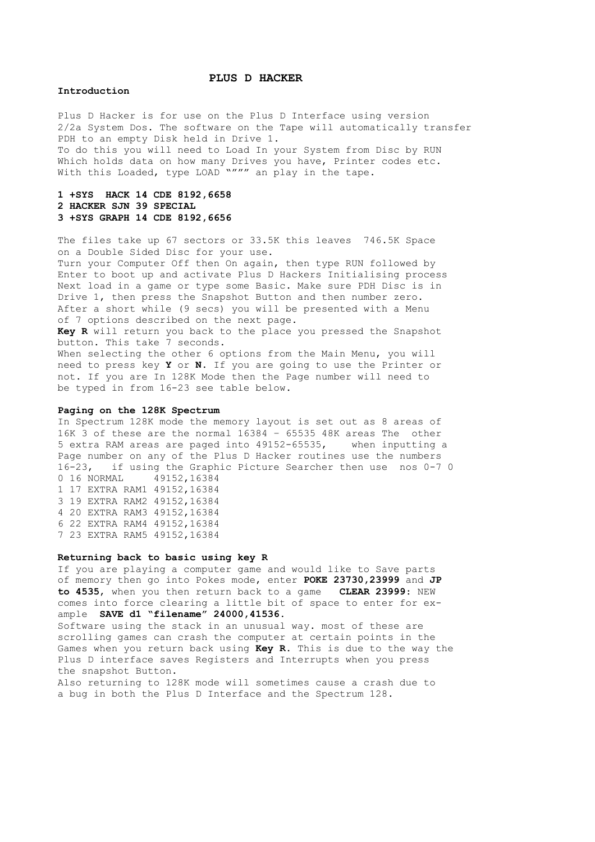#### **PLUS D HACKER**

#### <span id="page-7-0"></span>**Introduction**

Plus D Hacker is for use on the Plus D Interface using version 2/2a System Dos. The software on the Tape will automatically transfer PDH to an empty Disk held in Drive 1. To do this you will need to Load In your System from Disc by RUN Which holds data on how many Drives you have, Printer codes etc. With this Loaded, type LOAD """" an play in the tape.

## **1 +SYS HACK 14 CDE 8192,6658 2 HACKER SJN 39 SPECIAL 3 +SYS GRAPH 14 CDE 8192,6656**

The files take up 67 sectors or 33.5K this leaves 746.5K Space on a Double Sided Disc for your use. Turn your Computer Off then On again, then type RUN followed by Enter to boot up and activate Plus D Hackers Initialising process Next load in a game or type some Basic. Make sure PDH Disc is in Drive 1, then press the Snapshot Button and then number zero. After a short while (9 secs) you will be presented with a Menu of 7 options described on the next page. **Key R** will return you back to the place you pressed the Snapshot button. This take 7 seconds. When selecting the other 6 options from the Main Menu, you will

need to press key **Y** or **N**. If you are going to use the Printer or not. If you are In 128K Mode then the Page number will need to be typed in from 16-23 see table below.

#### **Paging on the 128K Spectrum**

In Spectrum 128K mode the memory layout is set out as 8 areas of 16K 3 of these are the normal 16384 - 65535 48K areas The other<br>5 extra RAM areas are paged into 49152-65535, when inputting a 5 extra RAM areas are paged into 49152-65535, Page number on any of the Plus D Hacker routines use the numbers 16-23, if using the Graphic Picture Searcher then use nos 0-7 0<br>0 16 NORMAL 49152,16384 0 16 NORMAL 1 17 EXTRA RAM1 49152,16384 3 19 EXTRA RAM2 49152,16384 4 20 EXTRA RAM3 49152,16384 6 22 EXTRA RAM4 49152,16384 7 23 EXTRA RAM5 49152,16384

#### **Returning back to basic using key R**

If you are playing a computer game and would like to Save parts of memory then go into Pokes mode, enter **POKE 23730,23999** and **JP to 4535**, when you then return back to a game **CLEAR 23999**: NEW comes into force clearing a little bit of space to enter for example **SAVE d1 "filename" 24000,41536**.

Software using the stack in an unusual way. most of these are scrolling games can crash the computer at certain points in the Games when you return back using **Key R.** This is due to the way the Plus D interface saves Registers and Interrupts when you press the snapshot Button.

Also returning to 128K mode will sometimes cause a crash due to a bug in both the Plus D Interface and the Spectrum 128.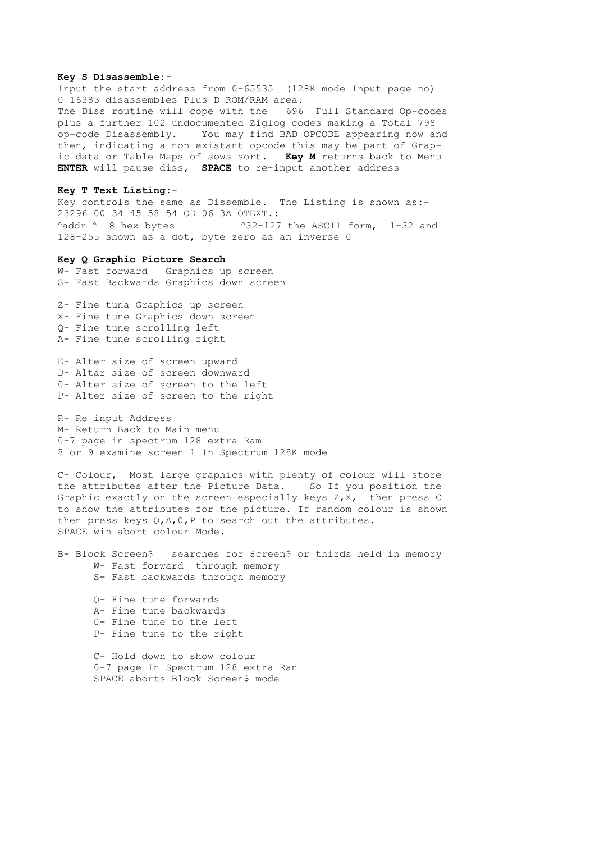#### <span id="page-8-0"></span>**Key S Disassemble**:-

Input the start address from 0-65535 (128K mode Input page no) 0 16383 disassembles Plus D ROM/RAM area. The Diss routine will cope with the 696 Full Standard Op-codes plus a further 102 undocumented Ziglog codes making a Total 798 op-code Disassembly. You may find BAD OPCODE appearing now and then, indicating a non existant opcode this may be part of Grapic data or Table Maps of sows sort. **Key M** returns back to Menu **ENTER** will pause diss, **SPACE** to re-input another address

#### **Key T Text Listing**:-

Key controls the same as Dissemble. The Listing is shown as:- 23296 00 34 45 58 54 OD 06 3A OTEXT.:  $\lambda$ addr  $\lambda$  8 hex bytes  $\lambda$ 32-127 the ASCII form, 1-32 and 128-255 shown as a dot, byte zero as an inverse 0

#### **Key Q Graphic Picture Search**

W- Fast forward Graphics up screen S- Fast Backwards Graphics down screen

Z- Fine tuna Graphics up screen X- Fine tune Graphics down screen Q- Fine tune scrolling left A- Fine tune scrolling right

E- Alter size of screen upward D- Altar size of screen downward 0- Alter size of screen to the left P- Alter size of screen to the right

R- Re input Address M- Return Back to Main menu 0-7 page in spectrum 128 extra Ram 8 or 9 examine screen 1 In Spectrum 128K mode

C- Colour, Most large graphics with plenty of colour will store the attributes after the Picture Data. So If you position the Graphic exactly on the screen especially keys Z,X, then press C to show the attributes for the picture. If random colour is shown then press keys  $Q, A, 0, P$  to search out the attributes. SPACE win abort colour Mode.

B- Block Screen\$ searches for 8creen\$ or thirds held in memory W- Fast forward through memory S- Fast backwards through memory

Q- Fine tune forwards A- Fine tune backwards 0- Fine tune to the left P- Fine tune to the right

C- Hold down to show colour 0-7 page In Spectrum 128 extra Ran SPACE aborts Block Screen\$ mode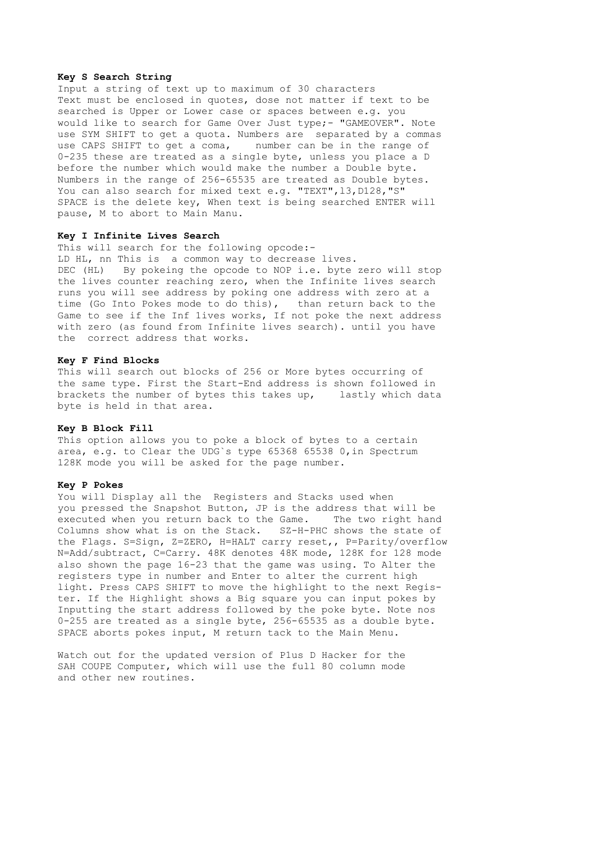#### <span id="page-9-0"></span>**Key S Search String**

Input a string of text up to maximum of 30 characters Text must be enclosed in quotes, dose not matter if text to be searched is Upper or Lower case or spaces between e.g. you would like to search for Game Over Just type;- "GAMEOVER". Note use SYM SHIFT to get a quota. Numbers are separated by a commas use CAPS SHIFT to get a coma, number can be in the range of 0-235 these are treated as a single byte, unless you p1ace a D before the number which would make the number a Double byte. Numbers in the range of 256-65535 are treated as Double bytes. You can also search for mixed text e.g. "TEXT", 13, D128, "S" SPACE is the de1ete key, When text is being searched ENTER will pause, M to abort to Main Manu.

#### **Key I Infinite Lives Search**

This will search for the following opcode:-LD HL, nn This is a common way to decrease lives. DEC (HL) By pokeing the opcode to NOP i.e. byte zero will stop the lives counter reaching zero, when the Infinite 1ives search runs you will see address by poking one address with zero at a time (Go Into Pokes mode to do this), than return back to the Game to see if the Inf 1ives works, If not poke the next address with zero (as found from Infinite lives search). until you have the correct address that works.

#### **Key F Find Blocks**

This will search out blocks of 256 or More bytes occurring of the same type. First the Start-End address is shown followed in brackets the number of bytes this takes up, lastly which data byte is held in that area.

#### **Key B Block Fill**

This option allows you to poke a block of bytes to a certain area, e.g. to Clear the UDG`s type 65368 65538 0,in Spectrum 128K mode you will be asked for the page number.

#### **Key P Pokes**

You will Display all the Registers and Stacks used when you pressed the Snapshot Button, JP is the address that will be executed when you return back to the Game. The two right hand Columns show what is on the Stack. SZ-H-PHC shows the state of the Flags. S=Sign, Z=ZERO, H=HALT carry reset,, P=Parity/overflow N=Add/subtract, C=Carry. 48K denotes 48K mode, 128K for 128 mode also shown the page 16-23 that the game was using. To Alter the registers type in number and Enter to alter the current high light. Press CAPS SHIFT to move the highlight to the next Register. If the Highlight shows a Big square you can input pokes by Inputting the start address followed by the poke byte. Note nos 0-255 are treated as a single byte, 256-65535 as a double byte. SPACE aborts pokes input, M return tack to the Main Menu.

Watch out for the updated version of P1us D Hacker for the SAH COUPE Computer, which will use the full 80 column mode and other new routines.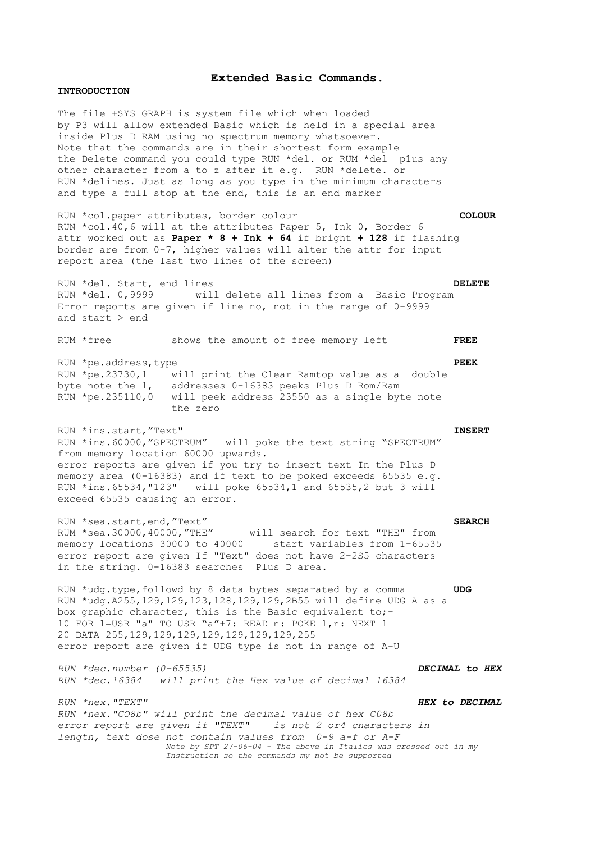#### **Extended Basic Commands**.

#### <span id="page-10-0"></span>**INTRODUCTION**

The file +SYS GRAPH is system file which when loaded by P3 will allow extended Basic which is held in a special area inside Plus D RAM using no spectrum memory whatsoever. Note that the commands are in their shortest form example the Delete command you could type RUN \*del. or RUM \*del p1us any other character from a to z after it e.g. RUN \*delete. or RUN \*delines. Just as long as you type in the minimum characters and type a full stop at the end, this is an end marker

RUN \*col.paper attributes, border colour **COLOUR**  RUN \*col.40,6 will at the attributes Paper 5, Ink 0, Border 6 attr worked out as **Paper \* 8 + Ink + 64** if bright **+ 128** if flashing border are from 0-7, higher values will alter the attr for input report area (the last two lines of the screen)

RUN \*del. Start, end lines **DELETE**  RUN \*del. 0,9999 will delete all lines from a Basic Program Error reports are given if line no, not in the range of 0-9999 and start > end

RUM \*free shows the amount of free memory left **FREE**  RUN \*pe.address,type **PEEK** RUN \*pe.23730,1 will print the Clear Ramtop value as a double byte note the 1, addresses 0-16383 peeks P1us D Rom/Ram RUN \*pe.2351l0,0 will peek address 23550 as a single byte note the zero RUN \*ins.start,"Text" **INSERT**  RUN \*ins.60000,"SPECTRUM" will poke the text string "SPECTRUM" from memory location 60000 upwards.

error reports are given if you try to insert text In the Plus D memory area (0-16383) and if text to be poked exceeds 65535 e.g. RUN \*ins.65534,"123" will poke 65534,1 and 65535,2 but 3 will exceed 65535 causing an error.

RUN \*sea.start,end,"Text" **SEARCH** RUM \*sea.30000,40000,"THE" will search for text "THE" from memory locations 30000 to 40000 start variables from 1-65535 error report are given If "Text" does not have 2-2S5 characters in the string. 0-16383 searches Plus D area.

RUN \*udg.type,fo11owd by 8 data bytes separated by a comma **UDG**  RUN \*udg.A255,129,129,123,128,129,129,2B55 will define UDG A as a box graphic character, this is the Basic equivalent to;-10 FOR l=USR "a" TO USR "a"+7: READ n: POKE l,n: NEXT l 20 DATA 255,129,129,129,129,129,129,129,255 error report are given if UDG type is not in range of A-U

*RUN \*dec.number (0-65535) DECIMAL to HEX RUN \*dec.16384 will print the Hex value of decimal 16384* 

*RUN \*hex."TEXT" HEX to DECIMAL RUN \*hex."CO8b" will print the decimal value of hex C08b error report are given if "TEXT" is not 2 or4 characters in length, text dose not contain values from 0-9 a-f or A-F Note by SPT 27-06-04 – The above in Italics was crossed out in my Instruction so the commands my not be supported*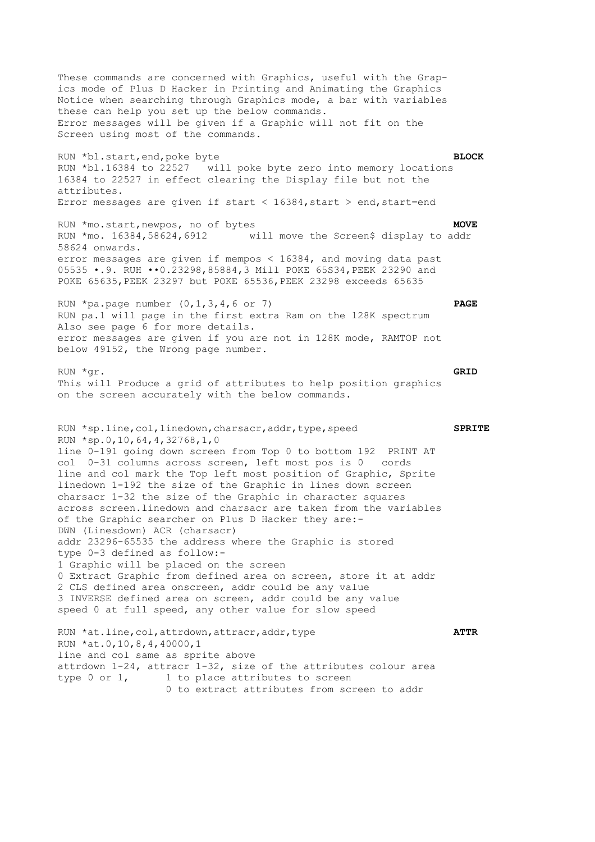<span id="page-11-0"></span>These commands are concerned with Graphics, useful with the Grapics mode of Plus D Hacker in Printing and Animating the Graphics Notice when searching through Graphics mode, a bar with variables these can help you set up the below commands. Error messages will be given if a Graphic will not fit on the Screen using most of the commands. RUN \*bl.start,end,poke byte **BLOCK** RUN \*bl.16384 to 22527 will poke byte zero into memory locations 16384 to 22527 in effect clearing the Display file but not the attributes. Error messages are given if start <  $16384$ , start > end, start=end RUN \*mo.start,newpos, no of bytes **MOVE** RUN \*mo. 16384,58624,6912 will move the Screen\$ display to addr 58624 onwards. error messages are given if mempos < 16384, and moving data past 05535 •.9. RUH ••0.23298,85884,3 Mill POKE 65S34,PEEK 23290 and POKE 65635,PEEK 23297 but POKE 65536,PEEK 23298 exceeds 65635 RUN \*pa.page number (0,1,3,4,6 or 7) **PAGE**  RUN pa.1 will page in the first extra Ram on the 128K spectrum Also see page 6 for more details. error messages are given if you are not in 128K mode, RAMTOP not below 49152, the Wrong page number. RUN \*gr. **GRID** This will Produce a grid of attributes to help position graphics on the screen accurately with the below commands. RUN \*sp.line,col,linedown,charsacr,addr,type,speed **SPRITE** RUN \*sp.0,10,64,4,32768,1,0 line 0-191 going down screen from Top 0 to bottom 192 PRINT AT col 0-31 columns across screen, left most pos is 0 cords line and col mark the Top left most position of Graphic, Sprite linedown 1-192 the size of the Graphic in lines down screen charsacr 1-32 the size of the Graphic in character squares across screen.linedown and charsacr are taken from the variables of the Graphic searcher on P1us D Hacker they are:- DWN (Linesdown) ACR (charsacr) addr 23296-65535 the address where the Graphic is stored type 0-3 defined as follow:- 1 Graphic will be placed on the screen 0 Extract Graphic from defined area on screen, store it at addr 2 CLS defined area onscreen, addr could be any value 3 INVERSE defined area on screen, addr could be any value speed 0 at full speed, any other value for slow speed RUN \*at.line,col,attrdown,attracr,addr,type **ATTR**  RUN \*at.0,10,8,4,40000,1 line and col same as sprite above attrdown 1-24, attracr 1-32, size of the attributes colour area type 0 or 1, 1 to place attributes to screen 0 to extract attributes from screen to addr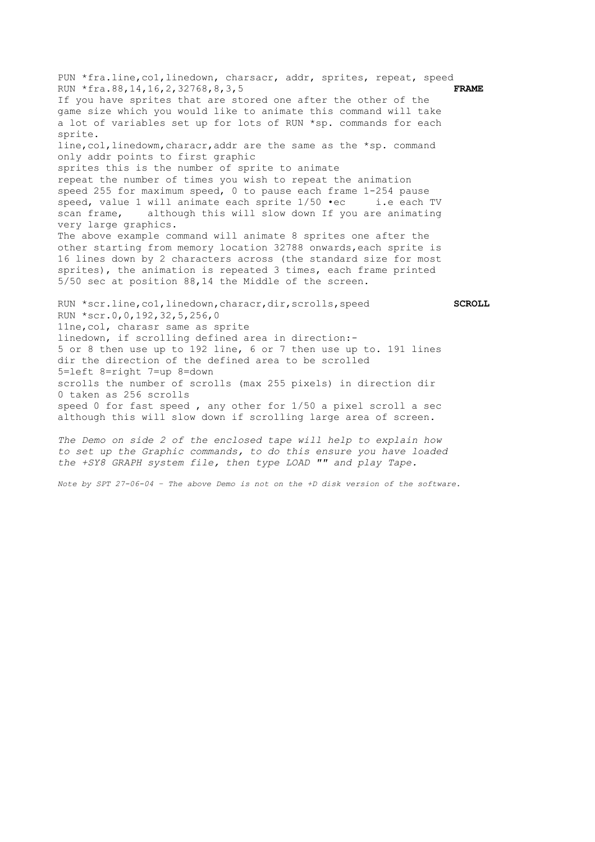<span id="page-12-0"></span>PUN \*fra.line, co1, linedown, charsacr, addr, sprites, repeat, speed RUN \*fra.88,14,16,2,32768,8,3,5 **FRAME**  If you have sprites that are stored one after the other of the game size which you would like to animate this command will take a lot of variables set up for lots of RUN \*sp. commands for each sprite. line, col, linedowm, characr, addr are the same as the \*sp. command only addr points to first graphic sprites this is the number of sprite to animate repeat the number of times you wish to repeat the animation speed 255 for maximum speed, 0 to pause each frame 1-254 pause speed, value 1 will animate each sprite 1/50 •ec i.e each TV scan frame, although this will slow down If you are animating very large graphics. The above example command will animate 8 sprites one after the other starting from memory location 32788 onwards,each sprite is 16 lines down by 2 characters across (the standard size for most sprites), the animation is repeated 3 times, each frame printed 5/50 sec at position 88,14 the Middle of the screen. RUN \*scr.line,co1,linedown,characr,dir,scrolls,speed **SCROLL** RUN \*scr.0,0,192,32,5,256,0

11ne,col, charasr same as sprite linedown, if scrolling defined area in direction:- 5 or 8 then use up to 192 line, 6 or 7 then use up to. 191 lines dir the direction of the defined area to be scrolled 5=left 8=right 7=up 8=down scrolls the number of scrolls (max 255 pixels) in direction dir 0 taken as 256 scrolls speed 0 for fast speed , any other for 1/50 a pixel scroll a sec although this will slow down if scrolling large area of screen.

*The Demo on side 2 of the enclosed tape will help to explain how to set up the Graphic commands, to do this ensure you have loaded the +SY8 GRAPH system file, then type LOAD "" and play Tape.* 

*Note by SPT 27-06-04 – The above Demo is not on the +D disk version of the software.*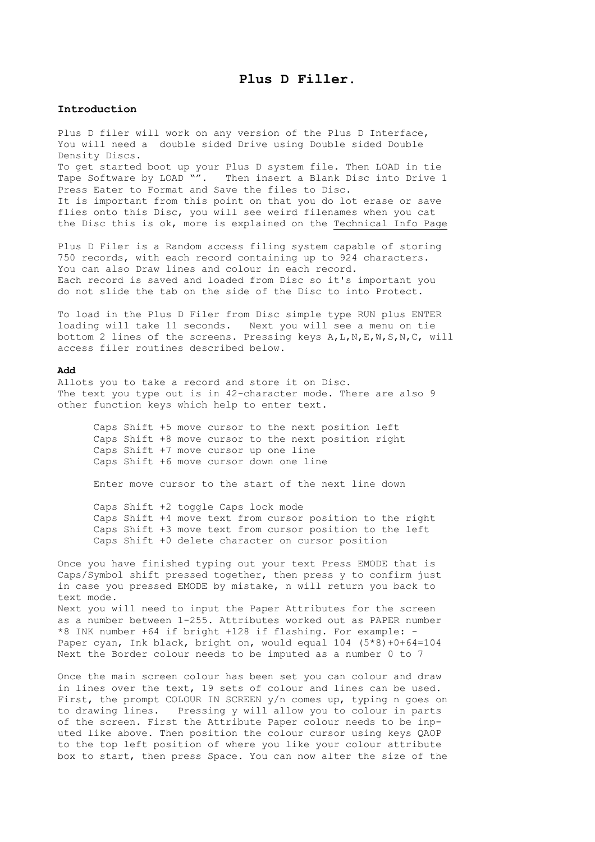## **Plus D Filler.**

#### <span id="page-13-0"></span>**Introduction**

Plus D filer will work on any version of the Plus D Interface, You will need a double sided Drive using Double sided Double Density Discs. To get started boot up your Plus D system file. Then LOAD in tie Tape Software by LOAD "". Then insert a Blank Disc into Drive 1 Press Eater to Format and Save the files to Disc. It is important from this point on that you do lot erase or save flies onto this Disc, you will see weird filenames when you cat the Disc this is ok, more is explained on the [Technical Info Page](#page-16-0)

Plus D Filer is a Random access filing system capable of storing 750 records, with each record containing up to 924 characters. You can also Draw lines and colour in each record. Each record is saved and loaded from Disc so it's important you do not slide the tab on the side of the Disc to into Protect.

To load in the Plus D Filer from Disc simple type RUN plus ENTER loading will take 11 seconds. Next you will see a menu on tie bottom 2 lines of the screens. Pressing keys A,L,N,E,W,S,N,C, will access filer routines described below.

### **Add**

Allots you to take a record and store it on Disc. The text you type out is in 42-character mode. There are also 9 other function keys which help to enter text.

Caps Shift +5 move cursor to the next position left Caps Shift +8 move cursor to the next position right Caps Shift +7 move cursor up one line Caps Shift +6 move cursor down one line

Enter move cursor to the start of the next line down

Caps Shift +2 toggle Caps lock mode Caps Shift +4 move text from cursor position to the right Caps Shift +3 move text from cursor position to the left Caps Shift +0 delete character on cursor position

Once you have finished typing out your text Press EMODE that is Caps/Symbol shift pressed together, then press y to confirm just in case you pressed EMODE by mistake, n will return you back to text mode. Next you will need to input the Paper Attributes for the screen as a number between 1-255. Attributes worked out as PAPER number \*8 INK number +64 if bright +l28 if flashing. For example: - Paper cyan, Ink black, bright on, would equal 104 (5\*8)+0+64=104 Next the Border colour needs to be imputed as a number 0 to 7

Once the main screen colour has been set you can colour and draw in lines over the text, 19 sets of colour and lines can be used. First, the prompt COLOUR IN SCREEN y/n comes up, typing n goes on to drawing lines. Pressing y will allow you to colour in parts of the screen. First the Attribute Paper colour needs to be inputed like above. Then position the colour cursor using keys QAOP to the top left position of where you like your colour attribute box to start, then press Space. You can now alter the size of the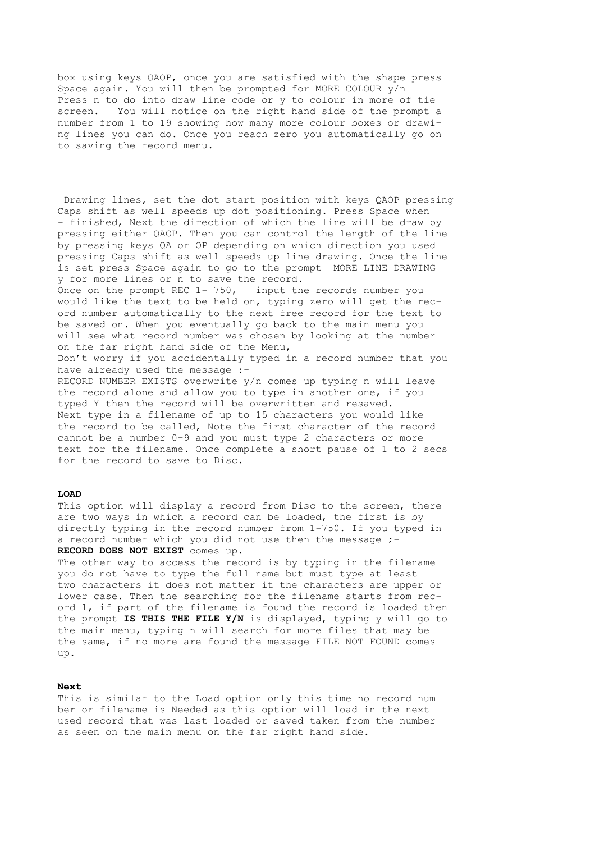<span id="page-14-0"></span>box using keys QAOP, once you are satisfied with the shape press Space again. You will then be prompted for MORE COLOUR y/n Press n to do into draw line code or y to colour in more of tie screen. You will notice on the right hand side of the prompt a number from 1 to 19 showing how many more colour boxes or drawing lines you can do. Once you reach zero you automatically go on to saving the record menu.

Drawing lines, set the dot start position with keys QAOP pressing Caps shift as well speeds up dot positioning. Press Space when - finished, Next the direction of which the line will be draw by pressing either QAOP. Then you can control the length of the line by pressing keys QA or OP depending on which direction you used pressing Caps shift as well speeds up line drawing. Once the line is set press Space again to go to the prompt MORE LINE DRAWING y for more lines or n to save the record. Once on the prompt REC 1- 750, input the records number you would like the text to be held on, typing zero will get the record number automatically to the next free record for the text to be saved on. When you eventually go back to the main menu you will see what record number was chosen by looking at the number on the far right hand side of the Menu, Don't worry if you accidentally typed in a record number that you have already used the message :-RECORD NUMBER EXISTS overwrite y/n comes up typing n will leave the record alone and allow you to type in another one, if you typed Y then the record will be overwritten and resaved. Next type in a filename of up to 15 characters you would like the record to be called, Note the first character of the record cannot be a number 0-9 and you must type 2 characters or more text for the filename. Once complete a short pause of 1 to 2 secs for the record to save to Disc.

#### **LOAD**

This option will display a record from Disc to the screen, there are two ways in which a record can be loaded, the first is by directly typing in the record number from 1-750. If you typed in a record number which you did not use then the message ;-**RECORD DOES NOT EXIST** comes up.

The other way to access the record is by typing in the filename you do not have to type the full name but must type at least two characters it does not matter it the characters are upper or lower case. Then the searching for the filename starts from record l, if part of the filename is found the record is loaded then the prompt **IS THIS THE FILE Y/N** is displayed, typing y will go to the main menu, typing n will search for more files that may be the same, if no more are found the message FILE NOT FOUND comes up.

#### **Next**

This is similar to the Load option only this time no record num ber or filename is Needed as this option will load in the next used record that was last loaded or saved taken from the number as seen on the main menu on the far right hand side.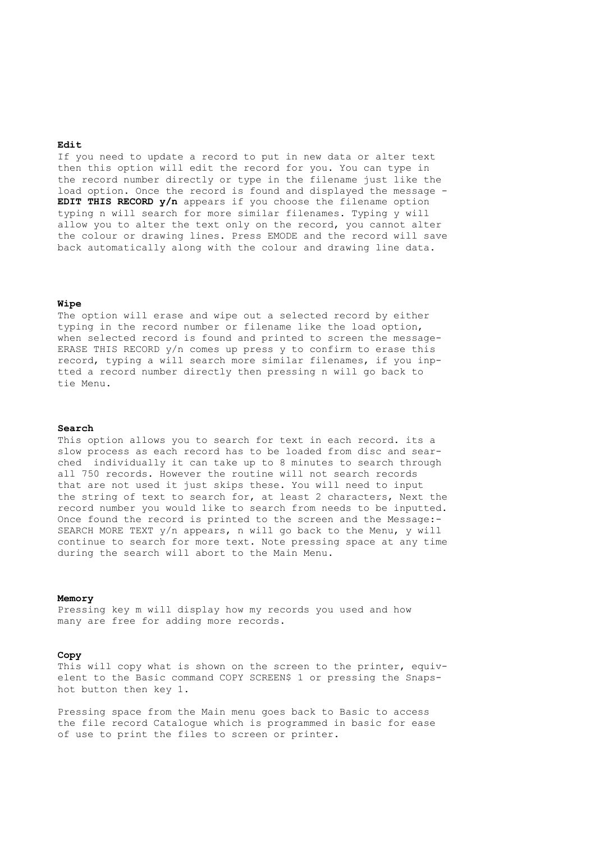#### <span id="page-15-0"></span>**Edit**

If you need to update a record to put in new data or alter text then this option will edit the record for you. You can type in the record number directly or type in the filename just like the load option. Once the record is found and displayed the message - **EDIT THIS RECORD y/n** appears if you choose the filename option typing n will search for more similar filenames. Typing y will allow you to alter the text only on the record, you cannot alter the colour or drawing lines. Press EMODE and the record will save back automatically along with the colour and drawing line data.

#### **Wipe**

The option will erase and wipe out a selected record by either typing in the record number or filename like the load option, when selected record is found and printed to screen the message-ERASE THIS RECORD  $y/n$  comes up press  $y$  to confirm to erase this record, typing a will search more similar filenames, if you inptted a record number directly then pressing n will go back to tie Menu.

#### **Search**

This option allows you to search for text in each record. its a slow process as each record has to be loaded from disc and searched individually it can take up to 8 minutes to search through all 750 records. However the routine will not search records that are not used it just skips these. You will need to input the string of text to search for, at least 2 characters, Next the record number you would like to search from needs to be inputted. Once found the record is printed to the screen and the Message:- SEARCH MORE TEXT y/n appears, n will go back to the Menu, y will continue to search for more text. Note pressing space at any time during the search will abort to the Main Menu.

#### **Memory**

Pressing key m will display how my records you used and how many are free for adding more records.

## **Copy**

This will copy what is shown on the screen to the printer, equivelent to the Basic command COPY SCREEN\$ 1 or pressing the Snapshot button then key 1.

Pressing space from the Main menu goes back to Basic to access the file record Catalogue which is programmed in basic for ease of use to print the files to screen or printer.